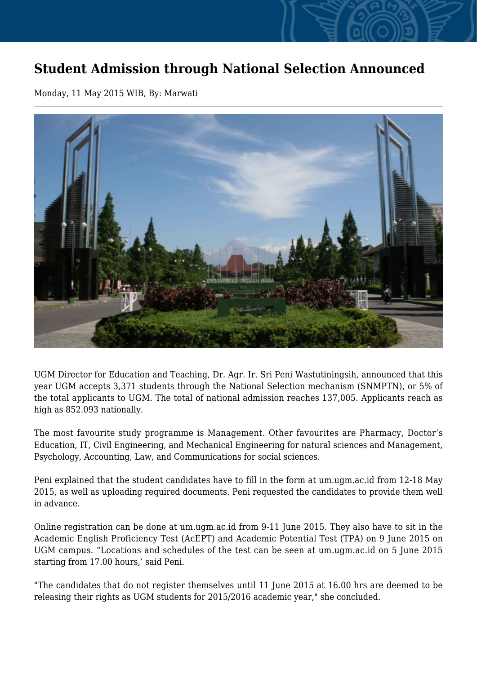## **Student Admission through National Selection Announced**

Monday, 11 May 2015 WIB, By: Marwati



UGM Director for Education and Teaching, Dr. Agr. Ir. Sri Peni Wastutiningsih, announced that this year UGM accepts 3,371 students through the National Selection mechanism (SNMPTN), or 5% of the total applicants to UGM. The total of national admission reaches 137,005. Applicants reach as high as 852.093 nationally.

The most favourite study programme is Management. Other favourites are Pharmacy, Doctor's Education, IT, Civil Engineering, and Mechanical Engineering for natural sciences and Management, Psychology, Accounting, Law, and Communications for social sciences.

Peni explained that the student candidates have to fill in the form at um.ugm.ac.id from 12-18 May 2015, as well as uploading required documents. Peni requested the candidates to provide them well in advance.

Online registration can be done at um.ugm.ac.id from 9-11 June 2015. They also have to sit in the Academic English Proficiency Test (AcEPT) and Academic Potential Test (TPA) on 9 June 2015 on UGM campus. "Locations and schedules of the test can be seen at um.ugm.ac.id on 5 June 2015 starting from 17.00 hours,' said Peni.

"The candidates that do not register themselves until 11 June 2015 at 16.00 hrs are deemed to be releasing their rights as UGM students for 2015/2016 academic year," she concluded.